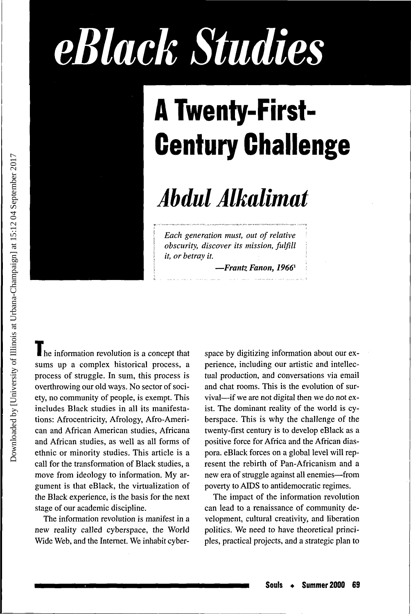# *eBlack Studies*



## **A Twenty-First-Century Challenge**

### *Abdul Alkalimat*

*Each generation must, out of relative obscurity, discover its mission, fulfill it, or betray it.*

—*Frantz Fanon, 1966<sup>1</sup>*

I he information revolution is a concept that sums up a complex historical process, a process of struggle. In sum, this process is overthrowing our old ways. No sector of society, no community of people, is exempt. This includes Black studies in all its manifestations: Afrocentricity, Afrology, Afro-American and African American studies, Africana and African studies, as well as all forms of ethnic or minority studies. This article is a call for the transformation of Black studies, a move from ideology to information. My argument is that eBlack, the virtualization of the Black experience, is the basis for the next stage of our academic discipline.

The information revolution is manifest in a new reality called cyberspace, the World Wide Web, and the Internet. We inhabit cyberspace by digitizing information about our experience, including our artistic and intellectual production, and conversations via email and chat rooms. This is the evolution of survival—if we are not digital then we do not exist. The dominant reality of the world is cyberspace. This is why the challenge of the twenty-first century is to develop eBlack as a positive force for Africa and the African diaspora. eBlack forces on a global level will represent the rebirth of Pan-Africanism and a new era of struggle against all enemies—from poverty to AIDS to antidemocratic regimes.

The impact of the information revolution can lead to a renaissance of community development, cultural creativity, and liberation politics. We need to have theoretical principles, practical projects, and a strategic plan to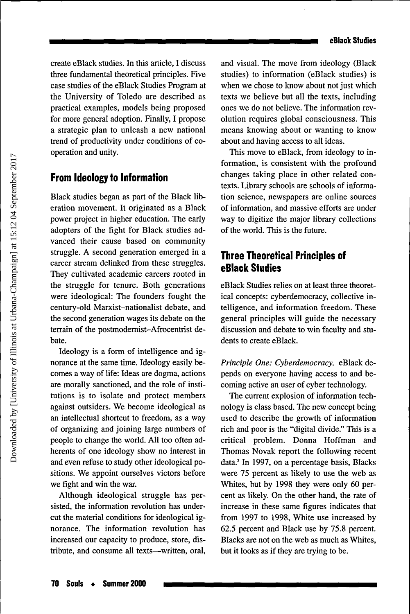create eBlack studies. In this article, I discuss three fundamental theoretical principles. Five case studies of the eBlack Studies Program at the University of Toledo are described as practical examples, models being proposed for more general adoption. Finally, I propose a strategic plan to unleash a new national trend of productivity under conditions of cooperation and unity.

#### **From Ideology to Information**

Black studies began as part of the Black liberation movement. It originated as a Black power project in higher education. The early adopters of the fight for Black studies advanced their cause based on community struggle. A second generation emerged in a career stream delinked from these struggles. They cultivated academic careers rooted in the struggle for tenure. Both generations were ideological: The founders fought the century-old Marxist-nationalist debate, and the second generation wages its debate on the terrain of the postmodernist-Afrocentrist debate.

Ideology is a form of intelligence and ignorance at the same time. Ideology easily becomes a way of life: Ideas are dogma, actions are morally sanctioned, and the role of institutions is to isolate and protect members against outsiders. We become ideological as an intellectual shortcut to freedom, as a way of organizing and joining large numbers of people to change the world. All too often adherents of one ideology show no interest in and even refuse to study other ideological positions. We appoint ourselves victors before we fight and win the war.

Although ideological struggle has persisted, the information revolution has undercut the material conditions for ideological ignorance. The information revolution has increased our capacity to produce, store, distribute, and consume all texts—written, oral, and visual. The move from ideology (Black studies) to information (eBlack studies) is when we chose to know about not just which texts we believe but all the texts, including ones we do not believe. The information revolution requires global consciousness. This means knowing about or wanting to know about and having access to all ideas.

This move to eBlack, from ideology to information, is consistent with the profound changes taking place in other related contexts. Library schools are schools of information science, newspapers are online sources of information, and massive efforts are under way to digitize the major library collections of the world. This is the future.

#### **Three Theoretical Principles of eBlack Studies**

eBlack Studies relies on at least three theoretical concepts: cyberdemocracy, collective intelligence, and information freedom. These general principles will guide the necessary discussion and debate to win faculty and students to create eBlack.

*Principle One: Cyberdemocracy.* eBlack depends on everyone having access to and becoming active an user of cyber technology.

The current explosion of information technology is class based. The new concept being used to describe the growth of information rich and poor is the "digital divide." This is a critical problem. Donna Hoffman and Thomas Novak report the following recent data.<sup>2</sup> In 1997, on a percentage basis, Blacks were 75 percent as likely to use the web as Whites, but by 1998 they were only 60 percent as likely. On the other hand, the rate of increase in these same figures indicates that from 1997 to 1998, White use increased by 62.5 percent and Black use by 75.8 percent. Blacks are not on the web as much as Whites, but it looks as if they are trying to be.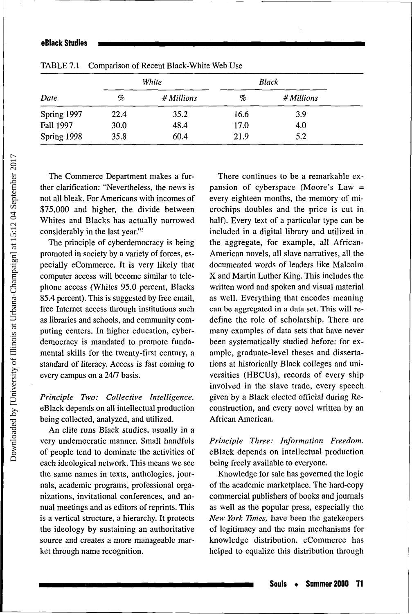| Date        | White |            | Black |            |
|-------------|-------|------------|-------|------------|
|             | $\%$  | # Millions | %     | # Millions |
| Spring 1997 | 22.4  | 35.2       | 16.6  | 3.9        |
| Fall 1997   | 30.0  | 48.4       | 17.0  | 4.0        |
| Spring 1998 | 35.8  | 60.4       | 21.9  | 5.2        |

TABLE 7.1 Comparison of Recent Black-White Web Use

The Commerce Department makes a further clarification: "Nevertheless, the news is not all bleak. For Americans with incomes of \$75,000 and higher, the divide between Whites and Blacks has actually narrowed considerably in the last year."<sup>3</sup>

The principle of cyberdemocracy is being promoted in society by a variety of forces, especially eCommerce. It is very likely that computer access will become similar to telephone access (Whites 95.0 percent, Blacks 85.4 percent). This is suggested by free email, free Internet access through institutions such as libraries and schools, and community computing centers. In higher education, cyberdemocracy is mandated to promote fundamental skills for the twenty-first century, a standard of literacy. Access is fast coming to every campus on a 24/7 basis.

*Principle Two: Collective Intelligence.* eBlack depends on all intellectual production being collected, analyzed, and utilized.

An elite runs Black studies, usually in a very undemocratic manner. Small handfuls of people tend to dominate the activities of each ideological network. This means we see the same names in texts, anthologies, journals, academic programs, professional organizations, invitational conferences, and annual meetings and as editors of reprints. This is a vertical structure, a hierarchy. It protects the ideology by sustaining an authoritative source and creates a more manageable market through name recognition.

There continues to be a remarkable expansion of cyberspace (Moore's Law = every eighteen months, the memory of microchips doubles and the price is cut in half). Every text of a particular type can be included in a digital library and utilized in the aggregate, for example, all African-American novels, all slave narratives, all the documented words of leaders like Malcolm X and Martin Luther King. This includes the written word and spoken and visual material as well. Everything that encodes meaning can be aggregated in a data set. This will redefine the role of scholarship. There are many examples of data sets that have never been systematically studied before: for example, graduate-level theses and dissertations at historically Black colleges and universities (HBCUs), records of every ship involved in the slave trade, every speech given by a Black elected official during Reconstruction, and every novel written by an African American.

#### *Principle Three: Information Freedom.* eBlack depends on intellectual production being freely available to everyone.

Knowledge for sale has governed the logic of the academic marketplace. The hard-copy commercial publishers of books and journals as well as the popular press, especially the *New York Times,* have been the gatekeepers of legitimacy and the main mechanisms for knowledge distribution. eCommerce has helped to equalize this distribution through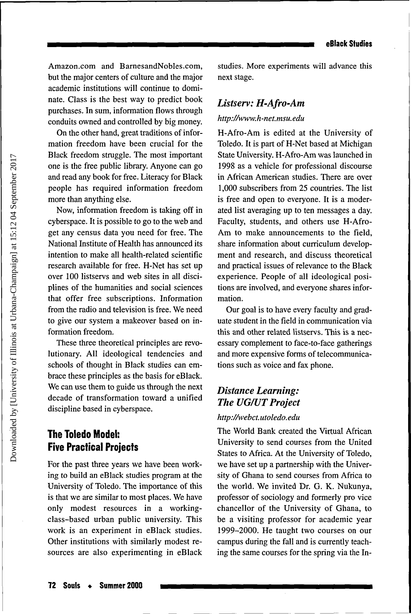Amazon.com and BarnesandNobles.com, but the major centers of culture and the major academic institutions will continue to dominate. Class is the best way to predict book purchases. In sum, information flows through conduits owned and controlled by big money.

On the other hand, great traditions of information freedom have been crucial for the Black freedom struggle. The most important one is the free public library. Anyone can go and read any book for free. Literacy for Black people has required information freedom more than anything else.

Now, information freedom is taking off in cyberspace. It is possible to go to the web and get any census data you need for free. The National Institute of Health has announced its intention to make all health-related scientific research available for free. H-Net has set up over 100 listservs and web sites in all disciplines of the humanities and social sciences that offer free subscriptions. Information from the radio and television is free. We need to give our system a makeover based on information freedom.

These three theoretical principles are revolutionary. All ideological tendencies and schools of thought in Black studies can embrace these principles as the basis for eBlack. We can use them to guide us through the next decade of transformation toward a unified discipline based in cyberspace.

#### **The Toledo Model: Five Practical Projects**

For the past three years we have been working to build an eBlack studies program at the University of Toledo. The importance of this is that we are similar to most places. We have only modest resources in a workingclass-based urban public university. This work is an experiment in eBlack studies. Other institutions with similarly modest resources are also experimenting in eBlack

studies. More experiments will advance this next stage.

#### *Listserv: H-Afro-Am*

#### *http://www.h-net.msu.edu*

H-Afro-Am is edited at the University of Toledo. It is part of H-Net based at Michigan State University. H-Afro-Am was launched in 1998 as a vehicle for professional discourse in African American studies. There are over 1,000 subscribers from 25 countries. The list is free and open to everyone. It is a moderated list averaging up to ten messages a day. Faculty, students, and others use H-Afro-Am to make announcements to the field, share information about curriculum development and research, and discuss theoretical and practical issues of relevance to the Black experience. People of all ideological positions are involved, and everyone shares information.

Our goal is to have every faculty and graduate student in the field in communication via this and other related listservs. This is a necessary complement to face-to-face gatherings and more expensive forms of telecommunications such as voice and fax phone.

#### *Distance Learning: The UG/UT Project*

#### *http://webct. utoledo. edu*

The World Bank created the Virtual African University to send courses from the United States to Africa. At the University of Toledo, we have set up a partnership with the University of Ghana to send courses from Africa to the world. We invited Dr. G. K. Nukunya, professor of sociology and formerly pro vice chancellor of the University of Ghana, to be a visiting professor for academic year 1999-2000. He taught two courses on our campus during the fall and is currently teaching the same courses for the spring via the In-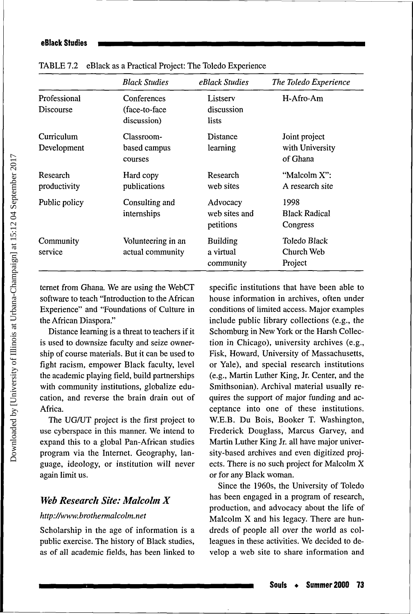|                           | <b>Black Studies</b>                         | eBlack Studies                            | The Toledo Experience                        |
|---------------------------|----------------------------------------------|-------------------------------------------|----------------------------------------------|
| Professional<br>Discourse | Conferences<br>(face-to-face)<br>discussion) | Listserv<br>discussion<br>lists           | H-Afro-Am                                    |
| Curriculum<br>Development | Classroom-<br>based campus<br>courses        | Distance<br>learning                      | Joint project<br>with University<br>of Ghana |
| Research<br>productivity  | Hard copy<br>publications                    | Research<br>web sites                     | "Malcolm X":<br>A research site              |
| Public policy             | Consulting and<br>internships                | Advocacy<br>web sites and<br>petitions    | 1998<br><b>Black Radical</b><br>Congress     |
| Community<br>service      | Volunteering in an<br>actual community       | <b>Building</b><br>a virtual<br>community | Toledo Black<br>Church Web<br>Project        |

TABLE 7.2 eBlack as a Practical Project: The Toledo Experience

ternet from Ghana. We are using the WebCT software to teach "Introduction to the African Experience" and "Foundations of Culture in the African Diaspora."

Distance learning is a threat to teachers if it is used to downsize faculty and seize ownership of course materials. But it can be used to fight racism, empower Black faculty, level the academic playing field, build partnerships with community institutions, globalize education, and reverse the brain drain out of Africa.

The UG/UT project is the first project to use cyberspace in this manner. We intend to expand this to a global Pan-African studies program via the Internet. Geography, language, ideology, or institution will never again limit us.

#### *Web Research Site: Malcolm X*

#### *http://www.brothermalcolm.net*

Scholarship in the age of information is a public exercise. The history of Black studies, as of all academic fields, has been linked to specific institutions that have been able to house information in archives, often under conditions of limited access. Major examples include public library collections (e.g., the Schomburg in New York or the Harsh Collection in Chicago), university archives (e.g., Fisk, Howard, University of Massachusetts, or Yale), and special research institutions (e.g., Martin Luther King, Jr. Center, and the Smithsonian). Archival material usually requires the support of major funding and acceptance into one of these institutions. W.E.B. Du Bois, Booker T. Washington, Frederick Douglass, Marcus Garvey, and Martin Luther King Jr. all have major university-based archives and even digitized projects. There is no such project for Malcolm X or for any Black woman.

Since the 1960s, the University of Toledo has been engaged in a program of research, production, and advocacy about the life of Malcolm X and his legacy. There are hundreds of people all over the world as colleagues in these activities. We decided to develop a web site to share information and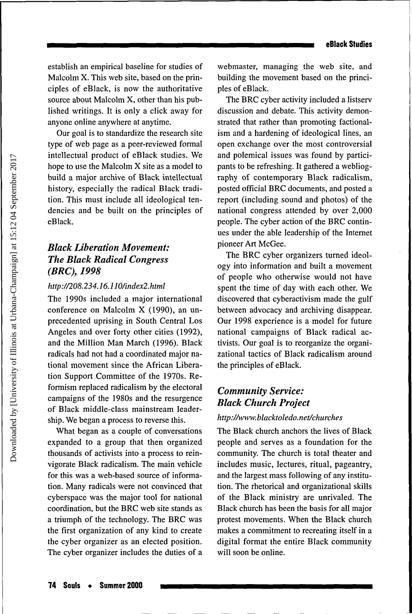establish an empirical baseline for studies of Malcolm X. This web site, based on the principles of eBlack, is now the authoritative source about Malcolm X, other than his published writings. It is only a click away for anyone online anywhere at anytime.

Our goal is to standardize the research site type of web page as a peer-reviewed formal intellectual product of eBlack studies. We hope to use the Malcolm X site as a model to build a major archive of Black intellectual history, especially the radical Black tradition. This must include all ideological tendencies and be built on the principles of eBlack.

#### *Black Liberation Movement: The Black Radical Congress (BRC), 1998*

#### *http://208.234.16.110/index2.html*

The 1990s included a major international conference on Malcolm X (1990), an unprecedented uprising in South Central Los Angeles and over forty other cities (1992), and the Million Man March (1996). Black radicals had not had a coordinated major national movement since the African Liberation Support Committee of the 1970s. Reformism replaced radicalism by the electoral campaigns of the 1980s and the resurgence of Black middle-class mainstream leadership. We began a process to reverse this.

What began as a couple of conversations expanded to a group that then organized thousands of activists into a process to reinvigorate Black radicalism. The main vehicle for this was a web-based source of information. Many radicals were not convinced that cyberspace was the major tool for national coordination, but the BRC web site stands as a triumph of the technology. The BRC was the first organization of any kind to create the cyber organizer as an elected position. The cyber organizer includes the duties of a webmaster, managing the web site, and building the movement based on the principles of eBlack.

The BRC cyber activity included a listserv discussion and debate. This activity demonstrated that rather than promoting factionalism and a hardening of ideological lines, an open exchange over the most controversial and polemical issues was found by participants to be refreshing. It gathered a webliography of contemporary Black radicalism, posted official BRC documents, and posted a report (including sound and photos) of the national congress attended by over 2,000 people. The cyber action of the BRC continues under the able leadership of the Internet pioneer Art McGee.

The BRC cyber organizers turned ideology into information and built a movement of people who otherwise would not have spent the time of day with each other. We discovered that cyberactivism made the gulf between advocacy and archiving disappear. Our 1998 experience is a model for future national campaigns of Black radical activists. Our goal is to reorganize the organizational tactics of Black radicalism around the principles of eBlack.

#### *Community Service: Black Church Project*

#### *http://www.blacktoledo.net/churche s*

The Black church anchors the lives of Black people and serves as a foundation for the community. The church is total theater and includes music, lectures, ritual, pageantry, and the largest mass following of any institution. The rhetorical and organizational skills of the Black ministry are unrivaled. The Black church has been the basis for all major protest movements. When the Black church makes a commitment to recreating itself in a digital format the entire Black community will soon be online.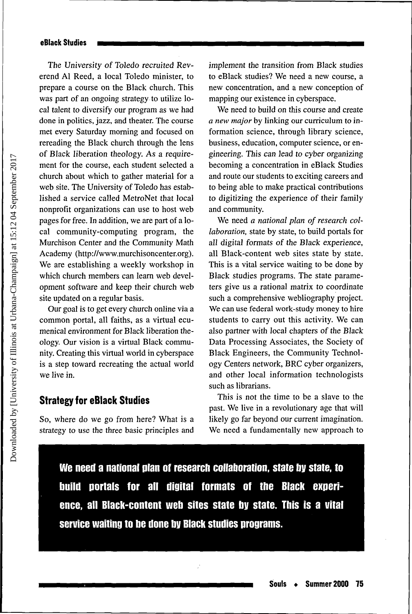The University of Toledo recruited Reverend Al Reed, a local Toledo minister, to prepare a course on the Black church. This was part of an ongoing strategy to utilize local talent to diversify our program as we had done in politics, jazz, and theater. The course met every Saturday morning and focused on rereading the Black church through the lens of Black liberation theology. As a requirement for the course, each student selected a church about which to gather material for a web site. The University of Toledo has established a service called MetroNet that local nonprofit organizations can use to host web pages for free. In addition, we are part of a local community-computing program, the Murchison Center and the Community Math Academy (http://www.murchisoncenter.org). We are establishing a weekly workshop in which church members can learn web development software and keep their church web site updated on a regular basis.

Our goal is to get every church online via a common portal, all faiths, as a virtual ecumenical environment for Black liberation theology. Our vision is a virtual Black community. Creating this virtual world in cyberspace is a step toward recreating the actual world we live in.

#### Strategy for eBlack Studies

So, where do we go from here? What is a strategy to use the three basic principles and implement the transition from Black studies to eBlack studies? We need a new course, a new concentration, and a new conception of mapping our existence in cyberspace.

We need to build on this course and create *a new major* by linking our curriculum to information science, through library science, business, education, computer science, or engineering. This can lead to cyber organizing becoming a concentration in eBlack Studies and route our students to exciting careers and to being able to make practical contributions to digitizing the experience of their family and community.

We need *a national plan of research collaboration,* state by state, to build portals for all digital formats of the Black experience, all Black-content web sites state by state. This is a vital service waiting to be done by Black studies programs. The state parameters give us a rational matrix to coordinate such a comprehensive webliography project. We can use federal work-study money to hire students to carry out this activity. We can also partner with local chapters of the Black Data Processing Associates, the Society of Black Engineers, the Community Technology Centers network, BRC cyber organizers, and other local information technologists such as librarians.

This is not the time to be a slave to the past. We live in a revolutionary age that will likely go far beyond our current imagination. We need a fundamentally new approach to

We need a national plan of research collaboration, state by state, to build portals for all digital formats of the Black experience, all Black-content web sites state by state. This is a **vital** service waiting to be done by Black studies programs.